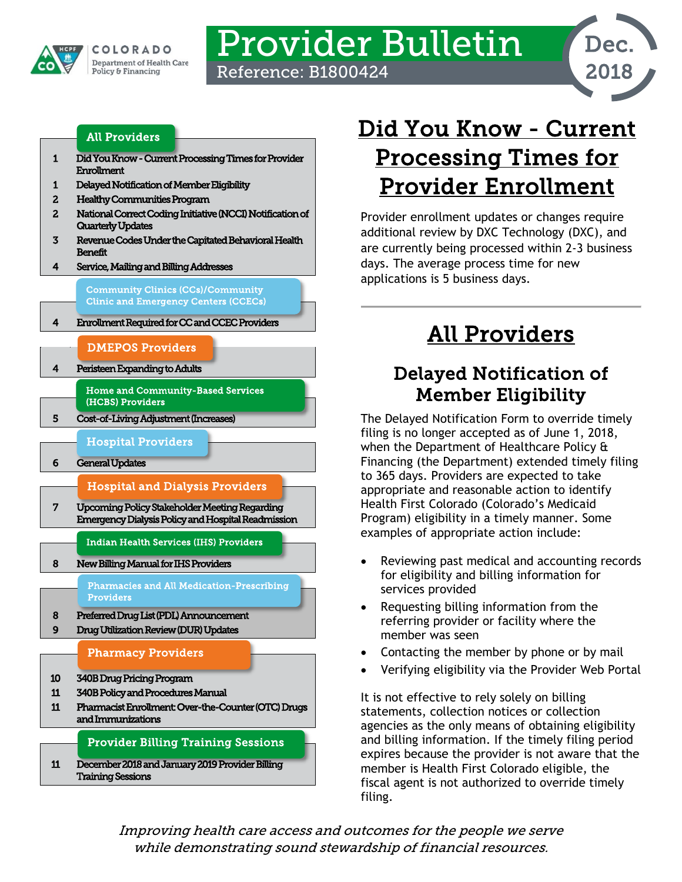

## Provider Bulletin Reference: B1800424

Dec. 2018

### [All Providers](#page-0-2)

- [1 Did You Know Current Processing Times for Provider](#page-0-0)  [Enrollment](#page-0-0)
- [1 Delayed Notification of Member Eligibility](#page-0-1)
- [2 Healthy Communities Program](#page-1-0)
- [2 National Correct Coding Initiative \(NCCI\) Notification of](#page-1-1)  [Quarterly Updates](#page-1-1)
- [3 Revenue Codes Under the Capitated Behavioral Health](#page-2-0)  [Benefit](#page-2-0)
- [4 Service, Mailing and Billing Addresses](#page-3-0)

Community Clinics (CCs)/Community Clinic and Emergency Centers (CCECs)

[4 Enrollment Required for CC and CCEC Providers](#page-3-1)  l

### [DMEPOS Providers](#page-3-3)

### [4 Peristeen Expanding to Adults](#page-3-2)

[Home and Community-Based Services](#page-4-1)  [\(HCBS\) Providers](#page-4-1) 

[5 Cost-of-Living Adjustment \(Increases\)](#page-4-0) 

### [Hospital Providers](#page-5-1)

[6 General Updates](#page-5-0) 

### [Hospital and Dialysis Providers](#page-6-1)

[7 Upcoming Policy Stakeholder Meeting Regarding](#page-6-0)  [Emergency Dialysis Policy and Hospital Readmission](#page-6-0) 

[Indian Health Services \(IHS\) Providers](#page-7-3) 

[8 New Billing Manual for IHS Providers](#page-7-0) 

[Pharmacies and All Medication-Prescribing](#page-7-2)  [Providers](#page-7-2) 

- [8 Preferred Drug List \(PDL\) Announcement](#page-7-1)
- [9 Drug Utilization Review \(DUR\) Updates](#page-8-0)

### [Pharmacy Providers](#page-9-1)

- [10 340B Drug Pricing Program](#page-9-0)
- [11 340B Policy and Procedures Manual](#page-10-0)
- [11 Pharmacist Enrollment: Over-the-Counter \(OTC\) Drugs](#page-10-1)  [and Immunizations](#page-10-1)

### Provider Billing Training Sessions

[11 December 2018 and January 2019 Provider Billing](#page-10-2)  [Training Sessions](#page-10-2) 

# <span id="page-0-0"></span>Did You Know - Current Processing Times for Provider Enrollment

Provider enrollment updates or changes require additional review by DXC Technology (DXC), and are currently being processed within 2-3 business days. The average process time for new applications is 5 business days.

# All Providers

## <span id="page-0-2"></span><span id="page-0-1"></span>Delayed Notification of Member Eligibility

The Delayed Notification Form to override timely filing is no longer accepted as of June 1, 2018, when the Department of Healthcare Policy & Financing (the Department) extended timely filing to 365 days. Providers are expected to take appropriate and reasonable action to identify Health First Colorado (Colorado's Medicaid Program) eligibility in a timely manner. Some examples of appropriate action include:

- Reviewing past medical and accounting records for eligibility and billing information for services provided
- Requesting billing information from the referring provider or facility where the member was seen
- Contacting the member by phone or by mail
- Verifying eligibility via the Provider Web Portal

It is not effective to rely solely on billing statements, collection notices or collection agencies as the only means of obtaining eligibility and billing information. If the timely filing period expires because the provider is not aware that the member is Health First Colorado eligible, the fiscal agent is not authorized to override timely filing.

Improving health care access and outcomes for the people we serve while demonstrating sound stewardship of financial resources.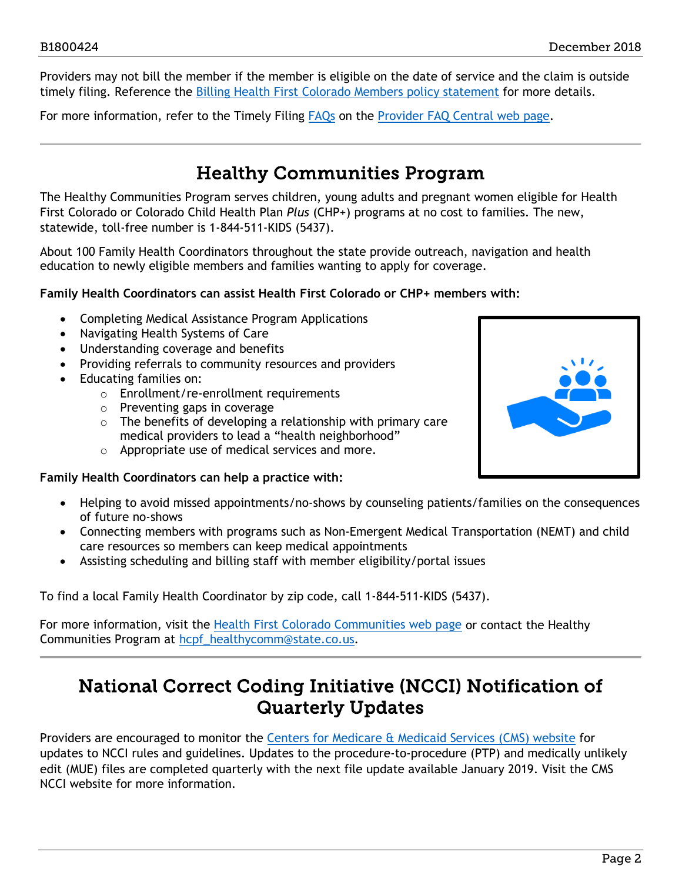Providers may not bill the member if the member is eligible on the date of service and the claim is outside timely filing. Reference the [Billing Health First Colorado Members policy statement](https://www.colorado.gov/pacific/hcpf/policy-statement-billing-medicaid-members-services) for more details.

For more information, refer to the Timely Filing [FAQs](https://www.colorado.gov/pacific/hcpf/faq-central#timely) on the [Provider FAQ Central web page.](https://www.colorado.gov/pacific/hcpf/faq-central)

### Healthy Communities Program

<span id="page-1-0"></span>The Healthy Communities Program serves children, young adults and pregnant women eligible for Health First Colorado or Colorado Child Health Plan *Plus* (CHP+) programs at no cost to families. The new, statewide, toll-free number is 1-844-511-KIDS (5437).

About 100 Family Health Coordinators throughout the state provide outreach, navigation and health education to newly eligible members and families wanting to apply for coverage.

### **Family Health Coordinators can assist Health First Colorado or CHP+ members with:**

- Completing Medical Assistance Program Applications
- Navigating Health Systems of Care
- Understanding coverage and benefits
- Providing referrals to community resources and providers
- Educating families on:
	- o Enrollment/re-enrollment requirements
	- o Preventing gaps in coverage
	- $\circ$  The benefits of developing a relationship with primary care medical providers to lead a "health neighborhood"
	- o Appropriate use of medical services and more.

### **Family Health Coordinators can help a practice with:**

- Helping to avoid missed appointments/no-shows by counseling patients/families on the consequences of future no-shows
- Connecting members with programs such as Non-Emergent Medical Transportation (NEMT) and child care resources so members can keep medical appointments
- Assisting scheduling and billing staff with member eligibility/portal issues

To find a local Family Health Coordinator by zip code, call 1-844-511-KIDS (5437).

For more information, visit the [Health First Colorado Communities web page](https://www.colorado.gov/hcpf/healthy-communities) or contact the Healthy Communities Program at [hcpf\\_healthycomm@state.co.us.](mailto:hcpf_healthycomm@state.co.us)

### <span id="page-1-1"></span>National Correct Coding Initiative (NCCI) Notification of Quarterly Updates

Providers are encouraged to monitor the [Centers for Medicare & Medicaid Services \(CMS\) website](https://www.cms.gov/Medicare/Coding/NationalCorrectCodInitEd/index.html) for updates to NCCI rules and guidelines. Updates to the procedure-to-procedure (PTP) and medically unlikely edit (MUE) files are completed quarterly with the next file update available January 2019. Visit the CMS NCCI website for more information.

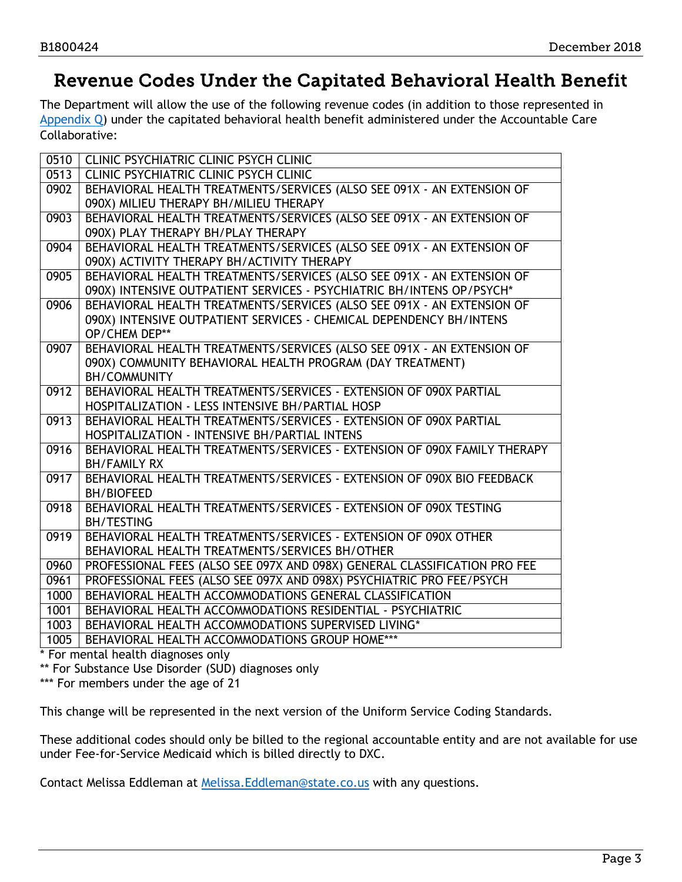### <span id="page-2-0"></span>Revenue Codes Under the Capitated Behavioral Health Benefit

The Department will allow the use of the following revenue codes (in addition to those represented in [Appendix Q\)](https://www.colorado.gov/pacific/sites/default/files/Appendix%20Q-Revenue%20Codes%20v1_3.pdf) under the capitated behavioral health benefit administered under the Accountable Care Collaborative:

| 0510 | <b>CLINIC PSYCHIATRIC CLINIC PSYCH CLINIC</b>                             |
|------|---------------------------------------------------------------------------|
| 0513 | <b>CLINIC PSYCHIATRIC CLINIC PSYCH CLINIC</b>                             |
| 0902 | BEHAVIORAL HEALTH TREATMENTS/SERVICES (ALSO SEE 091X - AN EXTENSION OF    |
|      | 090X) MILIEU THERAPY BH/MILIEU THERAPY                                    |
| 0903 | BEHAVIORAL HEALTH TREATMENTS/SERVICES (ALSO SEE 091X - AN EXTENSION OF    |
|      | 090X) PLAY THERAPY BH/PLAY THERAPY                                        |
| 0904 | BEHAVIORAL HEALTH TREATMENTS/SERVICES (ALSO SEE 091X - AN EXTENSION OF    |
|      | 090X) ACTIVITY THERAPY BH/ACTIVITY THERAPY                                |
| 0905 | BEHAVIORAL HEALTH TREATMENTS/SERVICES (ALSO SEE 091X - AN EXTENSION OF    |
|      | 090X) INTENSIVE OUTPATIENT SERVICES - PSYCHIATRIC BH/INTENS OP/PSYCH*     |
| 0906 | BEHAVIORAL HEALTH TREATMENTS/SERVICES (ALSO SEE 091X - AN EXTENSION OF    |
|      | 090X) INTENSIVE OUTPATIENT SERVICES - CHEMICAL DEPENDENCY BH/INTENS       |
|      | OP/CHEM DEP**                                                             |
| 0907 | BEHAVIORAL HEALTH TREATMENTS/SERVICES (ALSO SEE 091X - AN EXTENSION OF    |
|      | 090X) COMMUNITY BEHAVIORAL HEALTH PROGRAM (DAY TREATMENT)                 |
|      | <b>BH/COMMUNITY</b>                                                       |
| 0912 | BEHAVIORAL HEALTH TREATMENTS/SERVICES - EXTENSION OF 090X PARTIAL         |
|      | HOSPITALIZATION - LESS INTENSIVE BH/PARTIAL HOSP                          |
| 0913 | BEHAVIORAL HEALTH TREATMENTS/SERVICES - EXTENSION OF 090X PARTIAL         |
|      | HOSPITALIZATION - INTENSIVE BH/PARTIAL INTENS                             |
| 0916 | BEHAVIORAL HEALTH TREATMENTS/SERVICES - EXTENSION OF 090X FAMILY THERAPY  |
|      | <b>BH/FAMILY RX</b>                                                       |
| 0917 | BEHAVIORAL HEALTH TREATMENTS/SERVICES - EXTENSION OF 090X BIO FEEDBACK    |
|      | <b>BH/BIOFEED</b>                                                         |
| 0918 | BEHAVIORAL HEALTH TREATMENTS/SERVICES - EXTENSION OF 090X TESTING         |
|      | <b>BH/TESTING</b>                                                         |
| 0919 | BEHAVIORAL HEALTH TREATMENTS/SERVICES - EXTENSION OF 090X OTHER           |
|      | BEHAVIORAL HEALTH TREATMENTS/SERVICES BH/OTHER                            |
| 0960 | PROFESSIONAL FEES (ALSO SEE 097X AND 098X) GENERAL CLASSIFICATION PRO FEE |
| 0961 | PROFESSIONAL FEES (ALSO SEE 097X AND 098X) PSYCHIATRIC PRO FEE/PSYCH      |
| 1000 | BEHAVIORAL HEALTH ACCOMMODATIONS GENERAL CLASSIFICATION                   |
| 1001 | BEHAVIORAL HEALTH ACCOMMODATIONS RESIDENTIAL - PSYCHIATRIC                |
| 1003 | BEHAVIORAL HEALTH ACCOMMODATIONS SUPERVISED LIVING*                       |
| 1005 | BEHAVIORAL HEALTH ACCOMMODATIONS GROUP HOME***                            |
|      |                                                                           |

\* For mental health diagnoses only

\*\* For Substance Use Disorder (SUD) diagnoses only

\*\*\* For members under the age of 21

This change will be represented in the next version of the Uniform Service Coding Standards.

These additional codes should only be billed to the regional accountable entity and are not available for use under Fee-for-Service Medicaid which is billed directly to DXC.

Contact Melissa Eddleman at [Melissa.Eddleman@state.co.us](mailto:Melissa.Eddleman@state.co.us) with any questions.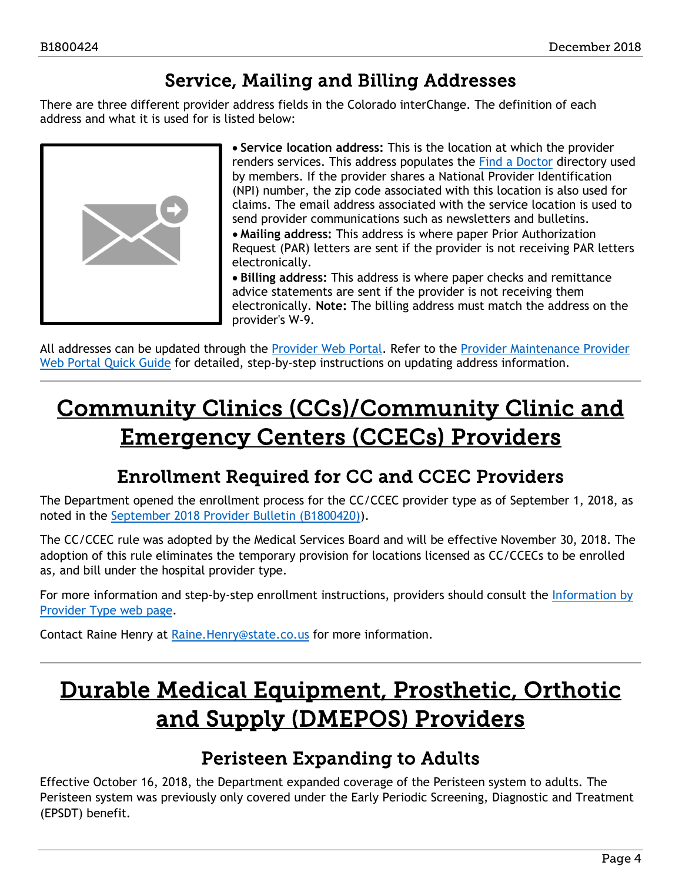## Service, Mailing and Billing Addresses

<span id="page-3-0"></span>There are three different provider address fields in the Colorado interChange. The definition of each address and what it is used for is listed below:



• **Service location address:** This is the location at which the provider renders services. This address populates the [Find a Doctor](https://www.colorado.gov/hcpf/find-doctor) directory used by members. If the provider shares a National Provider Identification (NPI) number, the zip code associated with this location is also used for claims. The email address associated with the service location is used to send provider communications such as newsletters and bulletins. • **Mailing address:** This address is where paper Prior Authorization Request (PAR) letters are sent if the provider is not receiving PAR letters electronically.

• **Billing address:** This address is where paper checks and remittance advice statements are sent if the provider is not receiving them electronically. **Note:** The billing address must match the address on the provider's W-9.

All addresses can be updated through the [Provider Web Portal.](https://colorado-hcp-portal.xco.dcs-usps.com/hcp/provider/Home/tabid/135/Default.aspx) Refer to the [Provider Maintenance Provider](https://www.colorado.gov/pacific/sites/default/files/Provider%20Maintenance%20021318.pdf)  [Web Portal Quick Guide](https://www.colorado.gov/pacific/sites/default/files/Provider%20Maintenance%20021318.pdf) for detailed, step-by-step instructions on updating address information.

## Community Clinics (CCs)/Community Clinic and Emergency Centers (CCECs) Providers

## Enrollment Required for CC and CCEC Providers

<span id="page-3-1"></span>The Department opened the enrollment process for the CC/CCEC provider type as of September 1, 2018, as noted in the [September 2018 Provider Bulletin \(B1800420\)\)](https://www.colorado.gov/pacific/sites/default/files/Bulletin_0918_B1800420.pdf).

The CC/CCEC rule was adopted by the Medical Services Board and will be effective November 30, 2018. The adoption of this rule eliminates the temporary provision for locations licensed as CC/CCECs to be enrolled as, and bill under the hospital provider type.

For more information and step-by-step enrollment instructions, providers should consult the [Information by](https://www.colorado.gov/hcpf/information-provider-type)  [Provider Type web page.](https://www.colorado.gov/hcpf/information-provider-type)

Contact Raine Henry at [Raine.Henry@state.co.us](mailto:Raine.Henry@state.co.us) for more information.

## <span id="page-3-3"></span>Durable Medical Equipment, Prosthetic, Orthotic and Supply (DMEPOS) Providers

### Peristeen Expanding to Adults

<span id="page-3-2"></span>Effective October 16, 2018, the Department expanded coverage of the Peristeen system to adults. The Peristeen system was previously only covered under the Early Periodic Screening, Diagnostic and Treatment (EPSDT) benefit.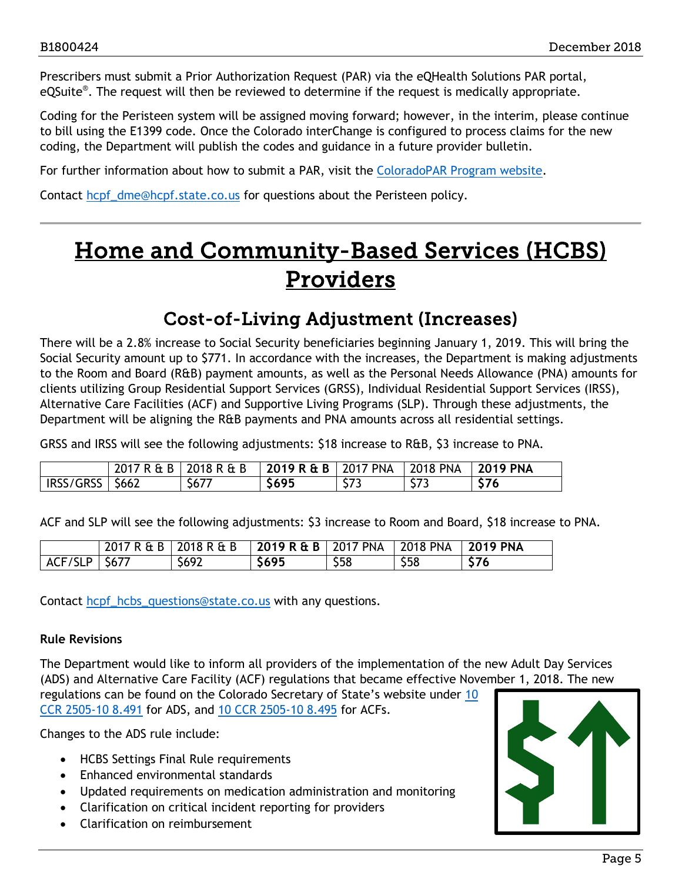Prescribers must submit a Prior Authorization Request (PAR) via the eQHealth Solutions PAR portal, eQSuite®. The request will then be reviewed to determine if the request is medically appropriate.

Coding for the Peristeen system will be assigned moving forward; however, in the interim, please continue to bill using the E1399 code. Once the Colorado interChange is configured to process claims for the new coding, the Department will publish the codes and guidance in a future provider bulletin.

For further information about how to submit a PAR, visit the [ColoradoPAR Program website.](http://www.coloradopar.com/)

Contact [hcpf\\_dme@hcpf.state.co.us](mailto:hcpf_dme@hcpf.state.co.us) for questions about the Peristeen policy.

## <span id="page-4-1"></span>Home and Community-Based Services (HCBS) Providers

### Cost-of-Living Adjustment (Increases)

<span id="page-4-0"></span>There will be a 2.8% increase to Social Security beneficiaries beginning January 1, 2019. This will bring the Social Security amount up to \$771. In accordance with the increases, the Department is making adjustments to the Room and Board (R&B) payment amounts, as well as the Personal Needs Allowance (PNA) amounts for clients utilizing Group Residential Support Services (GRSS), Individual Residential Support Services (IRSS), Alternative Care Facilities (ACF) and Supportive Living Programs (SLP). Through these adjustments, the Department will be aligning the R&B payments and PNA amounts across all residential settings.

GRSS and IRSS will see the following adjustments: \$18 increase to R&B, \$3 increase to PNA.

|           | 2017R&B | 2018 R & B       | $2019$ R & B | <b>2017 PNA</b>     | 2018 PNA    | 2019 PNA      |
|-----------|---------|------------------|--------------|---------------------|-------------|---------------|
| IRSS/GRSS | \$662   | $\sim$<br>- 567. | \$695        | <b>C-73</b><br>د رد | ---<br>ر رر | $\sim$ $\sim$ |

ACF and SLP will see the following adjustments: \$3 increase to Room and Board, \$18 increase to PNA.

|                   | 2017 R & B 2018 R & B | 2019 R & B   2017 PNA   2018 PNA   2019 PNA |      |      |      |
|-------------------|-----------------------|---------------------------------------------|------|------|------|
| $ACF/SLP$   \$677 | \$692                 | \$695                                       | \$58 | \$58 | \$76 |

Contact [hcpf\\_hcbs\\_questions@state.co.us](mailto:hcpf_hcbs_questions@state.co.us) with any questions.

#### **Rule Revisions**

The Department would like to inform all providers of the implementation of the new Adult Day Services (ADS) and Alternative Care Facility (ACF) regulations that became effective November 1, 2018. The new regulations can be found on the Colorado Secretary of State's website under [10](https://www.sos.state.co.us/CCR/GenerateRulePdf.do?ruleVersionId=7787&fileName=10%20CCR%202505-10%208.400%20) 

[CCR 2505-10 8.491](https://www.sos.state.co.us/CCR/GenerateRulePdf.do?ruleVersionId=7787&fileName=10%20CCR%202505-10%208.400%20) for ADS, and [10 CCR 2505-10 8.495](https://www.sos.state.co.us/CCR/GenerateRulePdf.do?ruleVersionId=7787&fileName=10%20CCR%202505-10%208.400%20) for ACFs.

Changes to the ADS rule include:

- HCBS Settings Final Rule requirements
- Enhanced environmental standards
- Updated requirements on medication administration and monitoring
- Clarification on critical incident reporting for providers
- Clarification on reimbursement

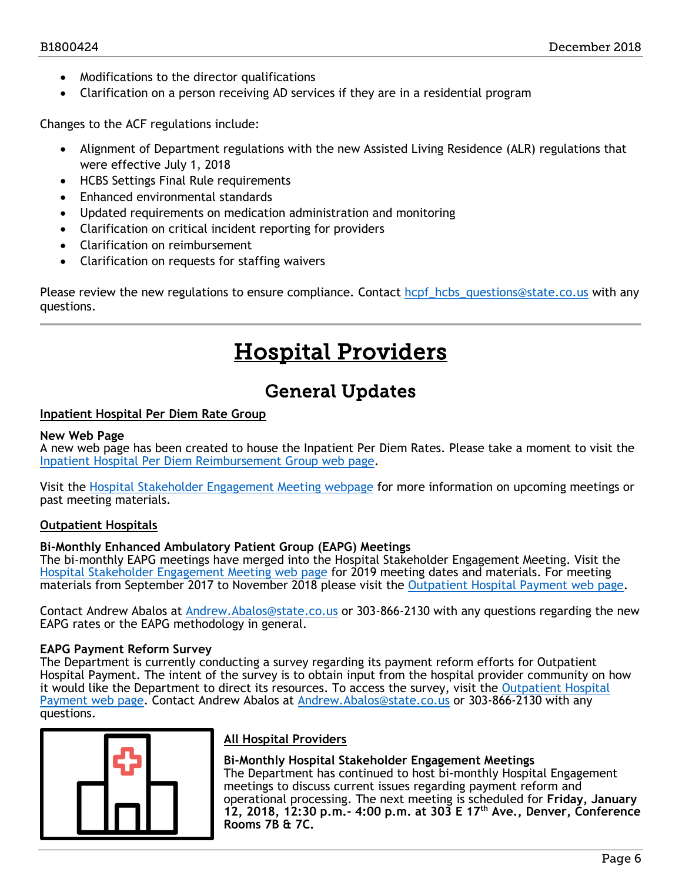- Modifications to the director qualifications
- Clarification on a person receiving AD services if they are in a residential program

Changes to the ACF regulations include:

- Alignment of Department regulations with the new Assisted Living Residence (ALR) regulations that were effective July 1, 2018
- HCBS Settings Final Rule requirements
- Enhanced environmental standards
- Updated requirements on medication administration and monitoring
- Clarification on critical incident reporting for providers
- Clarification on reimbursement
- Clarification on requests for staffing waivers

<span id="page-5-1"></span>Please review the new regulations to ensure compliance. Contact [hcpf\\_hcbs\\_questions@state.co.us](mailto:hcpf_hcbs_questions@state.co.us) with any questions.

## Hospital Providers

### General Updates

#### <span id="page-5-0"></span>**Inpatient Hospital Per Diem Rate Group**

#### **New Web Page**

A new web page has been created to house the Inpatient Per Diem Rates. Please take a moment to visit the [Inpatient Hospital Per Diem Reimbursement Group web page.](https://www.colorado.gov/pacific/hcpf/inpatient-hospital-diem-reimbursement-group)

Visit the [Hospital Stakeholder Engagement Meeting webpage](https://www.colorado.gov/pacific/hcpf/hospital-stakeholder-engagement-meetings) for more information on upcoming meetings or past meeting materials.

#### **Outpatient Hospitals**

#### **Bi-Monthly Enhanced Ambulatory Patient Group (EAPG) Meetings**

The bi-monthly EAPG meetings have merged into the Hospital Stakeholder Engagement Meeting. Visit the [Hospital Stakeholder Engagement Meeting web page](https://www.colorado.gov/pacific/hcpf/hospital-stakeholder-engagement-meetings) for 2019 meeting dates and materials. For meeting materials from September 2017 to November 2018 please visit the [Outpatient Hospital Payment web page.](https://www.colorado.gov/pacific/hcpf/outpatient-hospital-payment)

Contact Andrew Abalos at [Andrew.Abalos@state.co.us](mailto:Andrew.Abalos@state.co.us) or 303-866-2130 with any questions regarding the new EAPG rates or the EAPG methodology in general.

#### **EAPG Payment Reform Survey**

The Department is currently conducting a survey regarding its payment reform efforts for Outpatient Hospital Payment. The intent of the survey is to obtain input from the hospital provider community on how it would like the Department to direct its resources. To access the survey, visit the [Outpatient Hospital](https://www.colorado.gov/pacific/hcpf/outpatient-hospital-payment)  [Payment web page.](https://www.colorado.gov/pacific/hcpf/outpatient-hospital-payment) Contact Andrew Abalos at [Andrew.Abalos@state.co.us](mailto:Andrew.Abalos@state.co.us) or 303-866-2130 with any questions.



### **All Hospital Providers**

#### **Bi-Monthly Hospital Stakeholder Engagement Meetings**

The Department has continued to host bi-monthly Hospital Engagement meetings to discuss current issues regarding payment reform and operational processing. The next meeting is scheduled for **Friday, January 12, 2018, 12:30 p.m.- 4:00 p.m. at 303 E 17th Ave., Denver, Conference Rooms 7B & 7C.**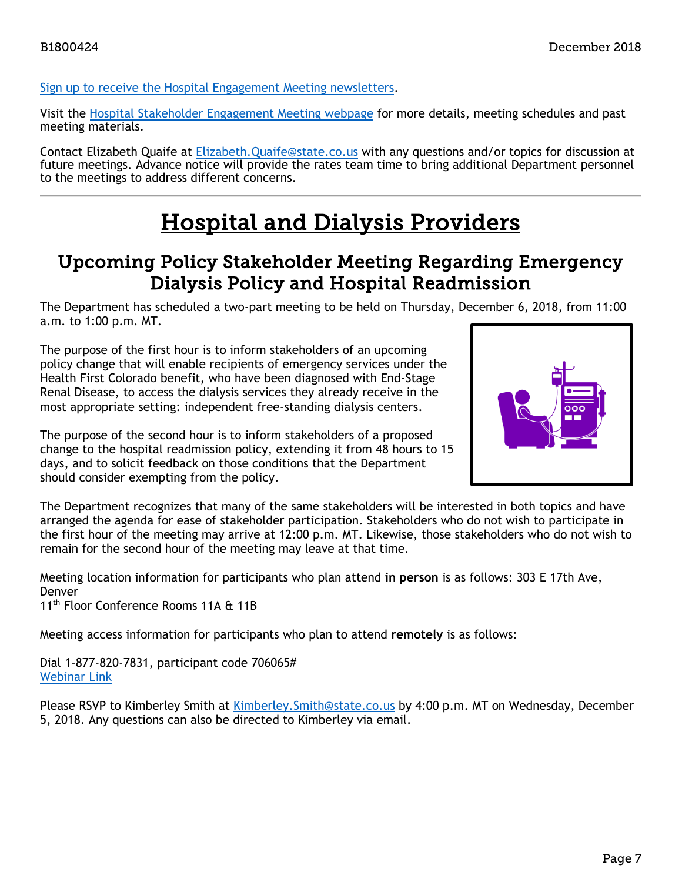[Sign up to receive the Hospital Engagement Meeting newsletters.](https://visitor.r20.constantcontact.com/manage/optin?v=001HfxrbpGNWZ0lZnPp6t3PG2s9XPNl8ZvgFdjsKvSnhIy8z9JmHyp6DeoLJ3saT6x0SeqRR1ub149uoXxe1ok4jTzfMSQ0BN7S5vcLiRO7gdY%3D)

Visit the [Hospital Stakeholder Engagement Meeting webpage](https://www.colorado.gov/pacific/hcpf/hospital-stakeholder-engagement-meetings) for more details, meeting schedules and past meeting materials.

Contact Elizabeth Quaife at [Elizabeth.Quaife@state.co.us](mailto:Elizabeth.Quaife@state.co.us) with any questions and/or topics for discussion at future meetings. Advance notice will provide the rates team time to bring additional Department personnel to the meetings to address different concerns.

## Hospital and Dialysis Providers

### <span id="page-6-1"></span><span id="page-6-0"></span>Upcoming Policy Stakeholder Meeting Regarding Emergency Dialysis Policy and Hospital Readmission

The Department has scheduled a two-part meeting to be held on Thursday, December 6, 2018, from 11:00 a.m. to 1:00 p.m. MT.

The purpose of the first hour is to inform stakeholders of an upcoming policy change that will enable recipients of emergency services under the Health First Colorado benefit, who have been diagnosed with End-Stage Renal Disease, to access the dialysis services they already receive in the most appropriate setting: independent free-standing dialysis centers.



The purpose of the second hour is to inform stakeholders of a proposed change to the hospital readmission policy, extending it from 48 hours to 15 days, and to solicit feedback on those conditions that the Department should consider exempting from the policy.

The Department recognizes that many of the same stakeholders will be interested in both topics and have arranged the agenda for ease of stakeholder participation. Stakeholders who do not wish to participate in the first hour of the meeting may arrive at 12:00 p.m. MT. Likewise, those stakeholders who do not wish to remain for the second hour of the meeting may leave at that time.

Meeting location information for participants who plan attend **in person** is as follows: 303 E 17th Ave, Denver

11<sup>th</sup> Floor Conference Rooms 11A & 11B

Meeting access information for participants who plan to attend **remotely** is as follows:

Dial 1-877-820-7831, participant code 706065# [Webinar Link](https://cohcpf.adobeconnect.com/rprycxlevkbc/)

Please RSVP to Kimberley Smith at Kimberley. Smith@state.co.us by 4:00 p.m. MT on Wednesday, December 5, 2018. Any questions can also be directed to Kimberley via email.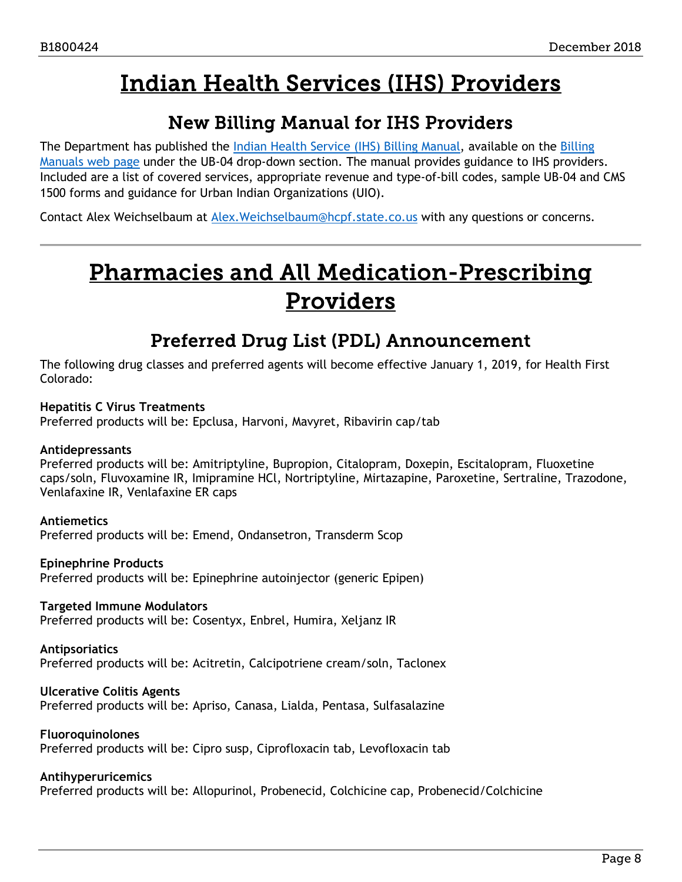## Indian Health Services (IHS) Providers

### New Billing Manual for IHS Providers

<span id="page-7-3"></span><span id="page-7-0"></span>The Department has published the [Indian Health Service \(IHS\) Billing Manual,](https://www.colorado.gov/pacific/sites/default/files/UB-04_IHS%20v1_0.pdf) available on the Billing [Manuals web page](https://www.colorado.gov/hcpf/billing-manuals) under the UB-04 drop-down section. The manual provides guidance to IHS providers. Included are a list of covered services, appropriate revenue and type-of-bill codes, sample UB-04 and CMS 1500 forms and guidance for Urban Indian Organizations (UIO).

<span id="page-7-2"></span>Contact Alex Weichselbaum at [Alex.Weichselbaum@hcpf.state.co.us](mailto:Alex.Weichselbaum@hcpf.state.co.us) with any questions or concerns.

## Pharmacies and All Medication-Prescribing Providers

### Preferred Drug List (PDL) Announcement

<span id="page-7-1"></span>The following drug classes and preferred agents will become effective January 1, 2019, for Health First Colorado:

### **Hepatitis C Virus Treatments**

Preferred products will be: Epclusa, Harvoni, Mavyret, Ribavirin cap/tab

### **Antidepressants**

Preferred products will be: Amitriptyline, Bupropion, Citalopram, Doxepin, Escitalopram, Fluoxetine caps/soln, Fluvoxamine IR, Imipramine HCl, Nortriptyline, Mirtazapine, Paroxetine, Sertraline, Trazodone, Venlafaxine IR, Venlafaxine ER caps

#### **Antiemetics**

Preferred products will be: Emend, Ondansetron, Transderm Scop

#### **Epinephrine Products**

Preferred products will be: Epinephrine autoinjector (generic Epipen)

### **Targeted Immune Modulators**

Preferred products will be: Cosentyx, Enbrel, Humira, Xeljanz IR

#### **Antipsoriatics**

Preferred products will be: Acitretin, Calcipotriene cream/soln, Taclonex

#### **Ulcerative Colitis Agents**

Preferred products will be: Apriso, Canasa, Lialda, Pentasa, Sulfasalazine

#### **Fluoroquinolones**

Preferred products will be: Cipro susp, Ciprofloxacin tab, Levofloxacin tab

#### **Antihyperuricemics**

Preferred products will be: Allopurinol, Probenecid, Colchicine cap, Probenecid/Colchicine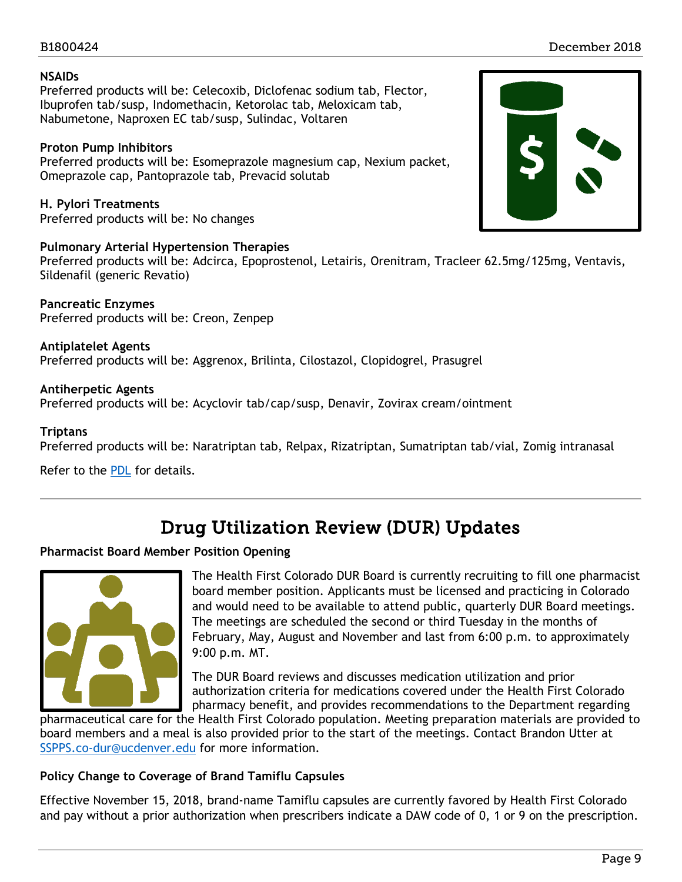### B1800424 December 2018

#### **NSAIDs**

Preferred products will be: Celecoxib, Diclofenac sodium tab, Flector, Ibuprofen tab/susp, Indomethacin, Ketorolac tab, Meloxicam tab, Nabumetone, Naproxen EC tab/susp, Sulindac, Voltaren

### **Proton Pump Inhibitors**

Preferred products will be: Esomeprazole magnesium cap, Nexium packet, Omeprazole cap, Pantoprazole tab, Prevacid solutab

**H. Pylori Treatments**  Preferred products will be: No changes

#### **Pulmonary Arterial Hypertension Therapies**

Preferred products will be: Adcirca, Epoprostenol, Letairis, Orenitram, Tracleer 62.5mg/125mg, Ventavis, Sildenafil (generic Revatio)

**Pancreatic Enzymes**  Preferred products will be: Creon, Zenpep

**Antiplatelet Agents**  Preferred products will be: Aggrenox, Brilinta, Cilostazol, Clopidogrel, Prasugrel

**Antiherpetic Agents**  Preferred products will be: Acyclovir tab/cap/susp, Denavir, Zovirax cream/ointment

#### **Triptans**

Preferred products will be: Naratriptan tab, Relpax, Rizatriptan, Sumatriptan tab/vial, Zomig intranasal

Refer to the [PDL](https://www.colorado.gov/hcpf/pharmacy-resources) for details.

### Drug Utilization Review (DUR) Updates

### <span id="page-8-0"></span>**Pharmacist Board Member Position Opening**



The Health First Colorado DUR Board is currently recruiting to fill one pharmacist board member position. Applicants must be licensed and practicing in Colorado and would need to be available to attend public, quarterly DUR Board meetings. The meetings are scheduled the second or third Tuesday in the months of February, May, August and November and last from 6:00 p.m. to approximately 9:00 p.m. MT.

The DUR Board reviews and discusses medication utilization and prior authorization criteria for medications covered under the Health First Colorado pharmacy benefit, and provides recommendations to the Department regarding

pharmaceutical care for the Health First Colorado population. Meeting preparation materials are provided to board members and a meal is also provided prior to the start of the meetings. Contact Brandon Utter at [SSPPS.co-dur@ucdenver.edu](mailto:SSPPS.co-dur@ucdenver.edu) for more information.

### **Policy Change to Coverage of Brand Tamiflu Capsules**

Effective November 15, 2018, brand-name Tamiflu capsules are currently favored by Health First Colorado and pay without a prior authorization when prescribers indicate a DAW code of 0, 1 or 9 on the prescription.

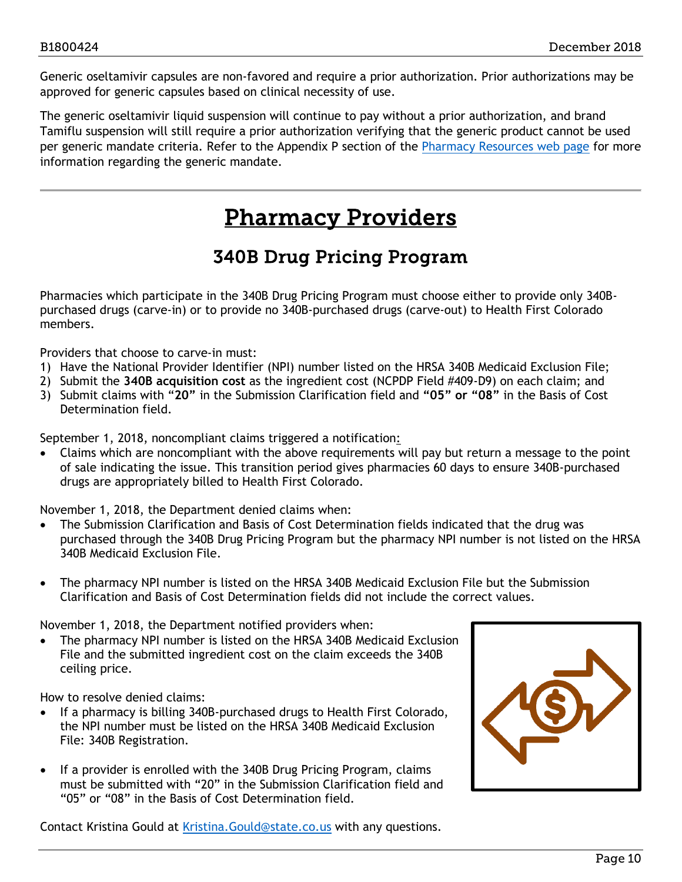Generic oseltamivir capsules are non-favored and require a prior authorization. Prior authorizations may be approved for generic capsules based on clinical necessity of use.

The generic oseltamivir liquid suspension will continue to pay without a prior authorization, and brand Tamiflu suspension will still require a prior authorization verifying that the generic product cannot be used per generic mandate criteria. Refer to the Appendix P section of the [Pharmacy Resources web page](https://www.colorado.gov/hcpf/pharmacy-resources) for more information regarding the generic mandate.

## Pharmacy Providers

## 340B Drug Pricing Program

<span id="page-9-1"></span><span id="page-9-0"></span>Pharmacies which participate in the 340B Drug Pricing Program must choose either to provide only 340Bpurchased drugs (carve-in) or to provide no 340B-purchased drugs (carve-out) to Health First Colorado members.

Providers that choose to carve-in must:

- 1) Have the National Provider Identifier (NPI) number listed on the HRSA 340B Medicaid Exclusion File;
- 2) Submit the **340B acquisition cost** as the ingredient cost (NCPDP Field #409-D9) on each claim; and
- 3) Submit claims with "**20"** in the Submission Clarification field and **"05" or "08"** in the Basis of Cost Determination field.

September 1, 2018, noncompliant claims triggered a notification:

• Claims which are noncompliant with the above requirements will pay but return a message to the point of sale indicating the issue. This transition period gives pharmacies 60 days to ensure 340B-purchased drugs are appropriately billed to Health First Colorado.

November 1, 2018, the Department denied claims when:

- The Submission Clarification and Basis of Cost Determination fields indicated that the drug was purchased through the 340B Drug Pricing Program but the pharmacy NPI number is not listed on the HRSA 340B Medicaid Exclusion File.
- The pharmacy NPI number is listed on the HRSA 340B Medicaid Exclusion File but the Submission Clarification and Basis of Cost Determination fields did not include the correct values.

November 1, 2018, the Department notified providers when:

• The pharmacy NPI number is listed on the HRSA 340B Medicaid Exclusion File and the submitted ingredient cost on the claim exceeds the 340B ceiling price.

How to resolve denied claims:

- If a pharmacy is billing 340B-purchased drugs to Health First Colorado, the NPI number must be listed on the HRSA 340B Medicaid Exclusion File: 340B Registration.
- If a provider is enrolled with the 340B Drug Pricing Program, claims must be submitted with "20" in the Submission Clarification field and "05" or "08" in the Basis of Cost Determination field.

Contact Kristina Gould at [Kristina.Gould@state.co.us](mailto:Kristina.Gould@state.co.us) with any questions.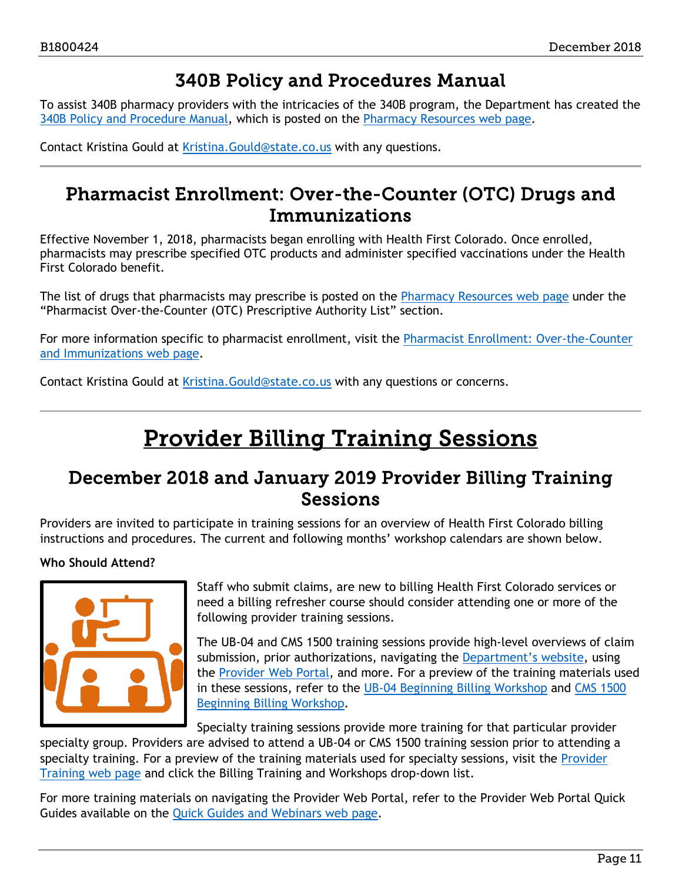### 340B Policy and Procedures Manual

<span id="page-10-0"></span>To assist 340B pharmacy providers with the intricacies of the 340B program, the Department has created the [340B Policy and Procedure Manual,](https://www.colorado.gov/pacific/sites/default/files/340B%20Final%20Manual.pdf) which is posted on the [Pharmacy Resources web page.](https://www.colorado.gov/pacific/hcpf/pharmacy-resources)

<span id="page-10-1"></span>Contact Kristina Gould at [Kristina.Gould@state.co.us](mailto:Kristina.Gould@state.co.us) with any questions.

### Pharmacist Enrollment: Over-the-Counter (OTC) Drugs and Immunizations

Effective November 1, 2018, pharmacists began enrolling with Health First Colorado. Once enrolled, pharmacists may prescribe specified OTC products and administer specified vaccinations under the Health First Colorado benefit.

The list of drugs that pharmacists may prescribe is posted on the [Pharmacy Resources web page](https://www.colorado.gov/pacific/hcpf/pharmacy-resources) under the "Pharmacist Over-the-Counter (OTC) Prescriptive Authority List" section.

For more information specific to pharmacist enrollment, visit the [Pharmacist Enrollment: Over-the-Counter](https://www.colorado.gov/pacific/hcpf/otc-immunizations)  [and Immunizations web page.](https://www.colorado.gov/pacific/hcpf/otc-immunizations)

Contact Kristina Gould at [Kristina.Gould@state.co.us](mailto:Kristina.Gould@state.co.us) with any questions or concerns.

## Provider Billing Training Sessions

### <span id="page-10-2"></span>December 2018 and January 2019 Provider Billing Training Sessions

Providers are invited to participate in training sessions for an overview of Health First Colorado billing instructions and procedures. The current and following months' workshop calendars are shown below.

### **Who Should Attend?**



Staff who submit claims, are new to billing Health First Colorado services or need a billing refresher course should consider attending one or more of the following provider training sessions.

The UB-04 and CMS 1500 training sessions provide high-level overviews of claim submission, prior authorizations, navigating the [Department's website,](https://www.colorado.gov/hcpf/) using the [Provider Web Portal,](https://colorado-hcp-portal.xco.dcs-usps.com/hcp/provider/Home/tabid/135/Default.aspx) and more. For a preview of the training materials used in these sessions, refer to the [UB-04 Beginning](https://www.colorado.gov/pacific/sites/default/files/2018%20Institutional%20Beginning%20Billing%20Workshop%20UB-04%20vers%201.6.pdf) Billing Workshop and [CMS 1500](https://www.colorado.gov/pacific/sites/default/files/2018%20CMS%20Beginning%20Billing%20011218%20Ver%201.7.pdf)  [Beginning Billing Workshop.](https://www.colorado.gov/pacific/sites/default/files/2018%20CMS%20Beginning%20Billing%20011218%20Ver%201.7.pdf)

Specialty training sessions provide more training for that particular provider

specialty group. Providers are advised to attend a UB-04 or CMS 1500 training session prior to attending a specialty training. For a preview of the training materials used for specialty sessions, visit the [Provider](https://www.colorado.gov/pacific/hcpf/provider-training)  [Training web page](https://www.colorado.gov/pacific/hcpf/provider-training) and click the Billing Training and Workshops drop-down list.

For more training materials on navigating the Provider Web Portal, refer to the Provider Web Portal Quick Guides available on the [Quick Guides and Webinars web page.](https://www.colorado.gov/hcpf/interchange-resources)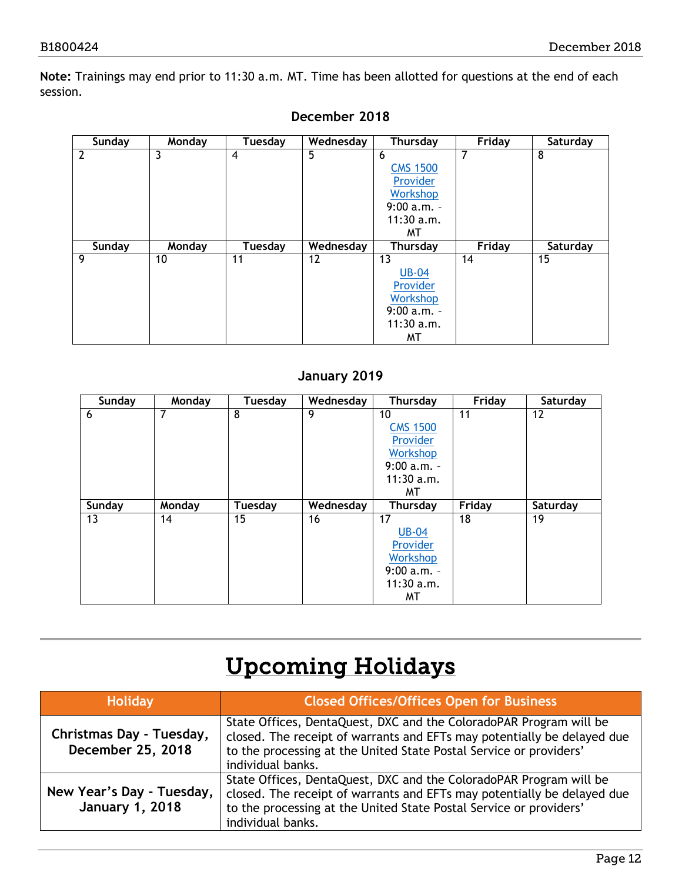**Note:** Trainings may end prior to 11:30 a.m. MT. Time has been allotted for questions at the end of each session.

| Sunday | Monday | Tuesday        | Wednesday | Thursday                                                                                 | Friday | Saturday |
|--------|--------|----------------|-----------|------------------------------------------------------------------------------------------|--------|----------|
| 2      | 3      | $\overline{4}$ | 5         | 6<br><b>CMS 1500</b><br>Provider<br>Workshop<br>$9:00 a.m. -$<br>$11:30$ a.m.<br>MТ      | 7      | 8        |
| Sunday | Monday | Tuesday        | Wednesday | <b>Thursday</b>                                                                          | Friday | Saturday |
| 9      | 10     | 11             | 12        | 13<br><b>UB-04</b><br>Provider<br><b>Workshop</b><br>$9:00 a.m. -$<br>$11:30$ a.m.<br>МT | 14     | 15       |

### **December 2018**

### **January 2019**

| Sunday | Monday | Tuesday | Wednesday | <b>Thursday</b> | Friday        | Saturday |
|--------|--------|---------|-----------|-----------------|---------------|----------|
| 6      | 7      | 8       | 9         | 10              | 11            | 12       |
|        |        |         |           | <b>CMS 1500</b> |               |          |
|        |        |         |           | Provider        |               |          |
|        |        |         |           | Workshop        |               |          |
|        |        |         |           | $9:00 a.m. -$   |               |          |
|        |        |         |           | $11:30$ a.m.    |               |          |
|        |        |         |           | MТ              |               |          |
| Sunday | Monday | Tuesday | Wednesday | <b>Thursday</b> | <b>Friday</b> | Saturday |
| 13     | 14     | 15      | 16        | 17              | 18            | 19       |
|        |        |         |           | <b>UB-04</b>    |               |          |
|        |        |         |           | Provider        |               |          |
|        |        |         |           | Workshop        |               |          |
|        |        |         |           | $9:00 a.m. -$   |               |          |
|        |        |         |           | $11:30$ a.m.    |               |          |
|        |        |         |           | МT              |               |          |

## Upcoming Holidays

| Holiday                                             | <b>Closed Offices/Offices Open for Business</b>                                                                                                                                                                                          |
|-----------------------------------------------------|------------------------------------------------------------------------------------------------------------------------------------------------------------------------------------------------------------------------------------------|
| Christmas Day - Tuesday,<br>December 25, 2018       | State Offices, DentaQuest, DXC and the ColoradoPAR Program will be<br>closed. The receipt of warrants and EFTs may potentially be delayed due<br>to the processing at the United State Postal Service or providers'<br>individual banks. |
| New Year's Day - Tuesday,<br><b>January 1, 2018</b> | State Offices, DentaQuest, DXC and the ColoradoPAR Program will be<br>closed. The receipt of warrants and EFTs may potentially be delayed due<br>to the processing at the United State Postal Service or providers'<br>individual banks. |